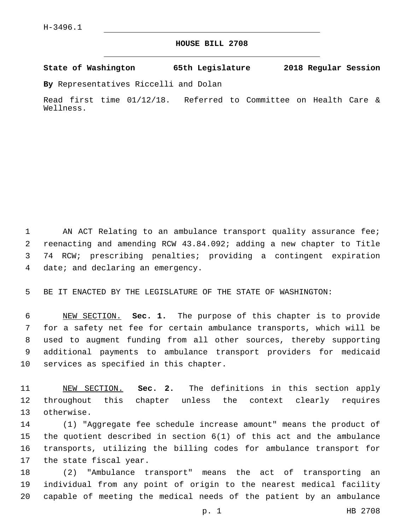## **HOUSE BILL 2708**

**State of Washington 65th Legislature 2018 Regular Session**

**By** Representatives Riccelli and Dolan

Read first time 01/12/18. Referred to Committee on Health Care & Wellness.

1 AN ACT Relating to an ambulance transport quality assurance fee; reenacting and amending RCW 43.84.092; adding a new chapter to Title 74 RCW; prescribing penalties; providing a contingent expiration 4 date; and declaring an emergency.

BE IT ENACTED BY THE LEGISLATURE OF THE STATE OF WASHINGTON:

 NEW SECTION. **Sec. 1.** The purpose of this chapter is to provide for a safety net fee for certain ambulance transports, which will be used to augment funding from all other sources, thereby supporting additional payments to ambulance transport providers for medicaid services as specified in this chapter.

 NEW SECTION. **Sec. 2.** The definitions in this section apply throughout this chapter unless the context clearly requires otherwise.

 (1) "Aggregate fee schedule increase amount" means the product of the quotient described in section 6(1) of this act and the ambulance transports, utilizing the billing codes for ambulance transport for 17 the state fiscal year.

 (2) "Ambulance transport" means the act of transporting an individual from any point of origin to the nearest medical facility capable of meeting the medical needs of the patient by an ambulance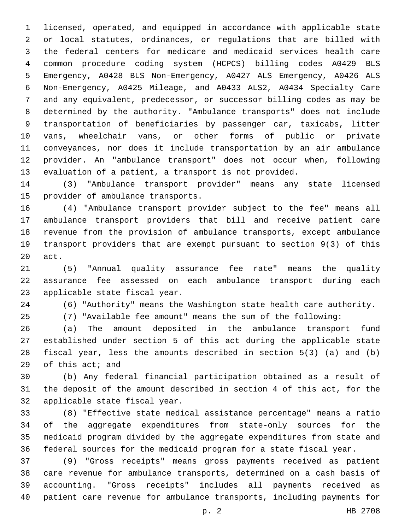licensed, operated, and equipped in accordance with applicable state or local statutes, ordinances, or regulations that are billed with the federal centers for medicare and medicaid services health care common procedure coding system (HCPCS) billing codes A0429 BLS Emergency, A0428 BLS Non-Emergency, A0427 ALS Emergency, A0426 ALS Non-Emergency, A0425 Mileage, and A0433 ALS2, A0434 Specialty Care and any equivalent, predecessor, or successor billing codes as may be determined by the authority. "Ambulance transports" does not include transportation of beneficiaries by passenger car, taxicabs, litter vans, wheelchair vans, or other forms of public or private conveyances, nor does it include transportation by an air ambulance provider. An "ambulance transport" does not occur when, following evaluation of a patient, a transport is not provided.

 (3) "Ambulance transport provider" means any state licensed 15 provider of ambulance transports.

 (4) "Ambulance transport provider subject to the fee" means all ambulance transport providers that bill and receive patient care revenue from the provision of ambulance transports, except ambulance transport providers that are exempt pursuant to section 9(3) of this 20 act.

 (5) "Annual quality assurance fee rate" means the quality assurance fee assessed on each ambulance transport during each 23 applicable state fiscal year.

(6) "Authority" means the Washington state health care authority.

(7) "Available fee amount" means the sum of the following:

 (a) The amount deposited in the ambulance transport fund established under section 5 of this act during the applicable state fiscal year, less the amounts described in section 5(3) (a) and (b) 29 of this act; and

 (b) Any federal financial participation obtained as a result of the deposit of the amount described in section 4 of this act, for the 32 applicable state fiscal year.

 (8) "Effective state medical assistance percentage" means a ratio of the aggregate expenditures from state-only sources for the medicaid program divided by the aggregate expenditures from state and federal sources for the medicaid program for a state fiscal year.

 (9) "Gross receipts" means gross payments received as patient care revenue for ambulance transports, determined on a cash basis of accounting. "Gross receipts" includes all payments received as patient care revenue for ambulance transports, including payments for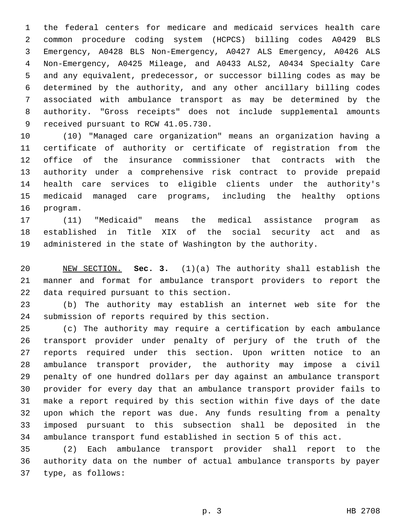the federal centers for medicare and medicaid services health care common procedure coding system (HCPCS) billing codes A0429 BLS Emergency, A0428 BLS Non-Emergency, A0427 ALS Emergency, A0426 ALS Non-Emergency, A0425 Mileage, and A0433 ALS2, A0434 Specialty Care and any equivalent, predecessor, or successor billing codes as may be determined by the authority, and any other ancillary billing codes associated with ambulance transport as may be determined by the authority. "Gross receipts" does not include supplemental amounts 9 received pursuant to RCW 41.05.730.

 (10) "Managed care organization" means an organization having a certificate of authority or certificate of registration from the office of the insurance commissioner that contracts with the authority under a comprehensive risk contract to provide prepaid health care services to eligible clients under the authority's medicaid managed care programs, including the healthy options 16 program.

 (11) "Medicaid" means the medical assistance program as established in Title XIX of the social security act and as administered in the state of Washington by the authority.

 NEW SECTION. **Sec. 3.** (1)(a) The authority shall establish the manner and format for ambulance transport providers to report the data required pursuant to this section.

 (b) The authority may establish an internet web site for the 24 submission of reports required by this section.

 (c) The authority may require a certification by each ambulance transport provider under penalty of perjury of the truth of the reports required under this section. Upon written notice to an ambulance transport provider, the authority may impose a civil penalty of one hundred dollars per day against an ambulance transport provider for every day that an ambulance transport provider fails to make a report required by this section within five days of the date upon which the report was due. Any funds resulting from a penalty imposed pursuant to this subsection shall be deposited in the ambulance transport fund established in section 5 of this act.

 (2) Each ambulance transport provider shall report to the authority data on the number of actual ambulance transports by payer 37 type, as follows: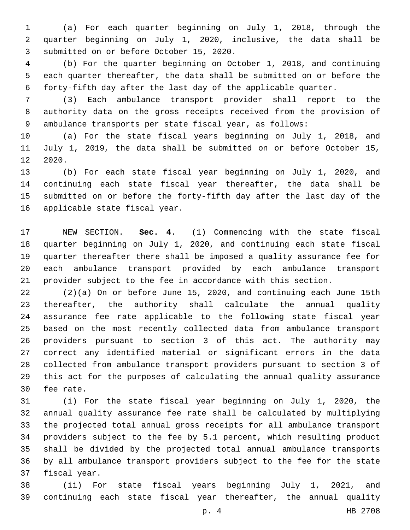(a) For each quarter beginning on July 1, 2018, through the quarter beginning on July 1, 2020, inclusive, the data shall be 3 submitted on or before October 15, 2020.

 (b) For the quarter beginning on October 1, 2018, and continuing each quarter thereafter, the data shall be submitted on or before the forty-fifth day after the last day of the applicable quarter.

 (3) Each ambulance transport provider shall report to the authority data on the gross receipts received from the provision of ambulance transports per state fiscal year, as follows:

 (a) For the state fiscal years beginning on July 1, 2018, and July 1, 2019, the data shall be submitted on or before October 15, 12 2020.

 (b) For each state fiscal year beginning on July 1, 2020, and continuing each state fiscal year thereafter, the data shall be submitted on or before the forty-fifth day after the last day of the 16 applicable state fiscal year.

 NEW SECTION. **Sec. 4.** (1) Commencing with the state fiscal quarter beginning on July 1, 2020, and continuing each state fiscal quarter thereafter there shall be imposed a quality assurance fee for each ambulance transport provided by each ambulance transport provider subject to the fee in accordance with this section.

 (2)(a) On or before June 15, 2020, and continuing each June 15th thereafter, the authority shall calculate the annual quality assurance fee rate applicable to the following state fiscal year based on the most recently collected data from ambulance transport providers pursuant to section 3 of this act. The authority may correct any identified material or significant errors in the data collected from ambulance transport providers pursuant to section 3 of this act for the purposes of calculating the annual quality assurance 30 fee rate.

 (i) For the state fiscal year beginning on July 1, 2020, the annual quality assurance fee rate shall be calculated by multiplying the projected total annual gross receipts for all ambulance transport providers subject to the fee by 5.1 percent, which resulting product shall be divided by the projected total annual ambulance transports by all ambulance transport providers subject to the fee for the state 37 fiscal year.

 (ii) For state fiscal years beginning July 1, 2021, and continuing each state fiscal year thereafter, the annual quality

p. 4 HB 2708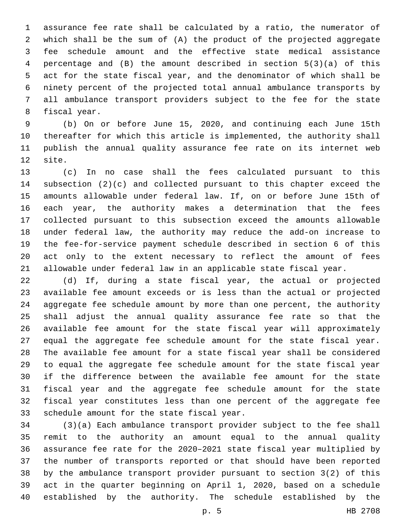assurance fee rate shall be calculated by a ratio, the numerator of which shall be the sum of (A) the product of the projected aggregate fee schedule amount and the effective state medical assistance percentage and (B) the amount described in section 5(3)(a) of this act for the state fiscal year, and the denominator of which shall be ninety percent of the projected total annual ambulance transports by all ambulance transport providers subject to the fee for the state 8 fiscal year.

 (b) On or before June 15, 2020, and continuing each June 15th thereafter for which this article is implemented, the authority shall publish the annual quality assurance fee rate on its internet web 12 site.

 (c) In no case shall the fees calculated pursuant to this subsection (2)(c) and collected pursuant to this chapter exceed the amounts allowable under federal law. If, on or before June 15th of each year, the authority makes a determination that the fees collected pursuant to this subsection exceed the amounts allowable under federal law, the authority may reduce the add-on increase to the fee-for-service payment schedule described in section 6 of this act only to the extent necessary to reflect the amount of fees allowable under federal law in an applicable state fiscal year.

 (d) If, during a state fiscal year, the actual or projected available fee amount exceeds or is less than the actual or projected aggregate fee schedule amount by more than one percent, the authority shall adjust the annual quality assurance fee rate so that the available fee amount for the state fiscal year will approximately equal the aggregate fee schedule amount for the state fiscal year. The available fee amount for a state fiscal year shall be considered to equal the aggregate fee schedule amount for the state fiscal year if the difference between the available fee amount for the state fiscal year and the aggregate fee schedule amount for the state fiscal year constitutes less than one percent of the aggregate fee 33 schedule amount for the state fiscal year.

 (3)(a) Each ambulance transport provider subject to the fee shall remit to the authority an amount equal to the annual quality assurance fee rate for the 2020–2021 state fiscal year multiplied by the number of transports reported or that should have been reported by the ambulance transport provider pursuant to section 3(2) of this act in the quarter beginning on April 1, 2020, based on a schedule established by the authority. The schedule established by the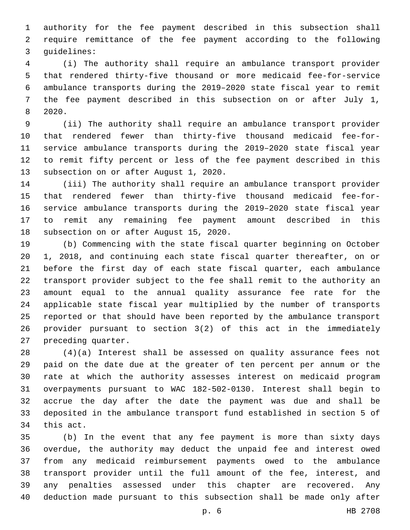authority for the fee payment described in this subsection shall require remittance of the fee payment according to the following 3 quidelines:

 (i) The authority shall require an ambulance transport provider that rendered thirty-five thousand or more medicaid fee-for-service ambulance transports during the 2019–2020 state fiscal year to remit the fee payment described in this subsection on or after July 1, 2020.8

 (ii) The authority shall require an ambulance transport provider that rendered fewer than thirty-five thousand medicaid fee-for- service ambulance transports during the 2019–2020 state fiscal year to remit fifty percent or less of the fee payment described in this 13 subsection on or after August 1, 2020.

 (iii) The authority shall require an ambulance transport provider that rendered fewer than thirty-five thousand medicaid fee-for- service ambulance transports during the 2019–2020 state fiscal year to remit any remaining fee payment amount described in this 18 subsection on or after August 15, 2020.

 (b) Commencing with the state fiscal quarter beginning on October 1, 2018, and continuing each state fiscal quarter thereafter, on or before the first day of each state fiscal quarter, each ambulance transport provider subject to the fee shall remit to the authority an amount equal to the annual quality assurance fee rate for the applicable state fiscal year multiplied by the number of transports reported or that should have been reported by the ambulance transport provider pursuant to section 3(2) of this act in the immediately 27 preceding quarter.

 (4)(a) Interest shall be assessed on quality assurance fees not paid on the date due at the greater of ten percent per annum or the rate at which the authority assesses interest on medicaid program overpayments pursuant to WAC 182-502-0130. Interest shall begin to accrue the day after the date the payment was due and shall be deposited in the ambulance transport fund established in section 5 of 34 this act.

 (b) In the event that any fee payment is more than sixty days overdue, the authority may deduct the unpaid fee and interest owed from any medicaid reimbursement payments owed to the ambulance transport provider until the full amount of the fee, interest, and any penalties assessed under this chapter are recovered. Any deduction made pursuant to this subsection shall be made only after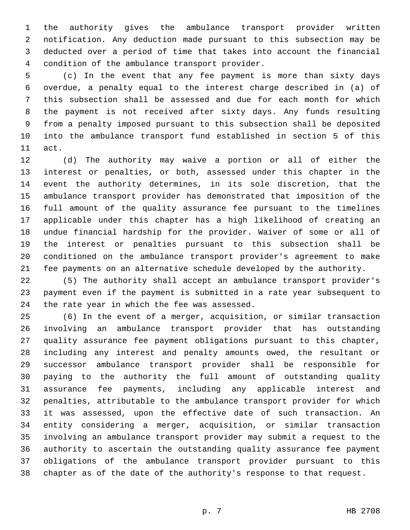the authority gives the ambulance transport provider written notification. Any deduction made pursuant to this subsection may be deducted over a period of time that takes into account the financial 4 condition of the ambulance transport provider.

 (c) In the event that any fee payment is more than sixty days overdue, a penalty equal to the interest charge described in (a) of this subsection shall be assessed and due for each month for which the payment is not received after sixty days. Any funds resulting from a penalty imposed pursuant to this subsection shall be deposited into the ambulance transport fund established in section 5 of this 11 act.

 (d) The authority may waive a portion or all of either the interest or penalties, or both, assessed under this chapter in the event the authority determines, in its sole discretion, that the ambulance transport provider has demonstrated that imposition of the full amount of the quality assurance fee pursuant to the timelines applicable under this chapter has a high likelihood of creating an undue financial hardship for the provider. Waiver of some or all of the interest or penalties pursuant to this subsection shall be conditioned on the ambulance transport provider's agreement to make fee payments on an alternative schedule developed by the authority.

 (5) The authority shall accept an ambulance transport provider's payment even if the payment is submitted in a rate year subsequent to 24 the rate year in which the fee was assessed.

 (6) In the event of a merger, acquisition, or similar transaction involving an ambulance transport provider that has outstanding quality assurance fee payment obligations pursuant to this chapter, including any interest and penalty amounts owed, the resultant or successor ambulance transport provider shall be responsible for paying to the authority the full amount of outstanding quality assurance fee payments, including any applicable interest and penalties, attributable to the ambulance transport provider for which it was assessed, upon the effective date of such transaction. An entity considering a merger, acquisition, or similar transaction involving an ambulance transport provider may submit a request to the authority to ascertain the outstanding quality assurance fee payment obligations of the ambulance transport provider pursuant to this chapter as of the date of the authority's response to that request.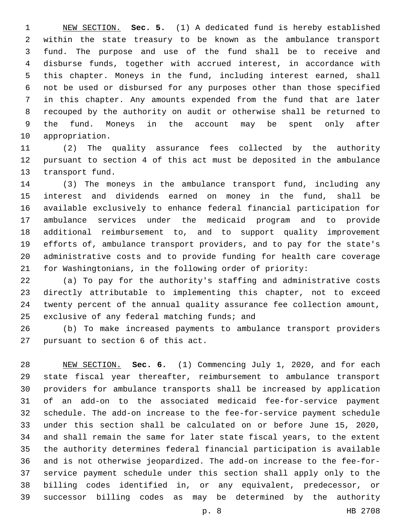NEW SECTION. **Sec. 5.** (1) A dedicated fund is hereby established within the state treasury to be known as the ambulance transport fund. The purpose and use of the fund shall be to receive and disburse funds, together with accrued interest, in accordance with this chapter. Moneys in the fund, including interest earned, shall not be used or disbursed for any purposes other than those specified in this chapter. Any amounts expended from the fund that are later recouped by the authority on audit or otherwise shall be returned to the fund. Moneys in the account may be spent only after appropriation.

 (2) The quality assurance fees collected by the authority pursuant to section 4 of this act must be deposited in the ambulance 13 transport fund.

 (3) The moneys in the ambulance transport fund, including any interest and dividends earned on money in the fund, shall be available exclusively to enhance federal financial participation for ambulance services under the medicaid program and to provide additional reimbursement to, and to support quality improvement efforts of, ambulance transport providers, and to pay for the state's administrative costs and to provide funding for health care coverage for Washingtonians, in the following order of priority:

 (a) To pay for the authority's staffing and administrative costs directly attributable to implementing this chapter, not to exceed twenty percent of the annual quality assurance fee collection amount, 25 exclusive of any federal matching funds; and

 (b) To make increased payments to ambulance transport providers 27 pursuant to section 6 of this act.

 NEW SECTION. **Sec. 6.** (1) Commencing July 1, 2020, and for each state fiscal year thereafter, reimbursement to ambulance transport providers for ambulance transports shall be increased by application of an add-on to the associated medicaid fee-for-service payment schedule. The add-on increase to the fee-for-service payment schedule under this section shall be calculated on or before June 15, 2020, and shall remain the same for later state fiscal years, to the extent the authority determines federal financial participation is available and is not otherwise jeopardized. The add-on increase to the fee-for- service payment schedule under this section shall apply only to the billing codes identified in, or any equivalent, predecessor, or successor billing codes as may be determined by the authority

p. 8 HB 2708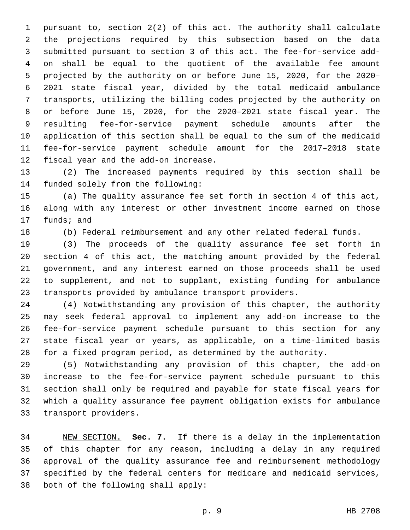pursuant to, section 2(2) of this act. The authority shall calculate the projections required by this subsection based on the data submitted pursuant to section 3 of this act. The fee-for-service add- on shall be equal to the quotient of the available fee amount projected by the authority on or before June 15, 2020, for the 2020– 2021 state fiscal year, divided by the total medicaid ambulance transports, utilizing the billing codes projected by the authority on or before June 15, 2020, for the 2020–2021 state fiscal year. The resulting fee-for-service payment schedule amounts after the application of this section shall be equal to the sum of the medicaid fee-for-service payment schedule amount for the 2017–2018 state 12 fiscal year and the add-on increase.

 (2) The increased payments required by this section shall be 14 funded solely from the following:

 (a) The quality assurance fee set forth in section 4 of this act, along with any interest or other investment income earned on those 17 funds; and

(b) Federal reimbursement and any other related federal funds.

 (3) The proceeds of the quality assurance fee set forth in section 4 of this act, the matching amount provided by the federal government, and any interest earned on those proceeds shall be used to supplement, and not to supplant, existing funding for ambulance transports provided by ambulance transport providers.

 (4) Notwithstanding any provision of this chapter, the authority may seek federal approval to implement any add-on increase to the fee-for-service payment schedule pursuant to this section for any state fiscal year or years, as applicable, on a time-limited basis for a fixed program period, as determined by the authority.

 (5) Notwithstanding any provision of this chapter, the add-on increase to the fee-for-service payment schedule pursuant to this section shall only be required and payable for state fiscal years for which a quality assurance fee payment obligation exists for ambulance 33 transport providers.

 NEW SECTION. **Sec. 7.** If there is a delay in the implementation of this chapter for any reason, including a delay in any required approval of the quality assurance fee and reimbursement methodology specified by the federal centers for medicare and medicaid services, both of the following shall apply: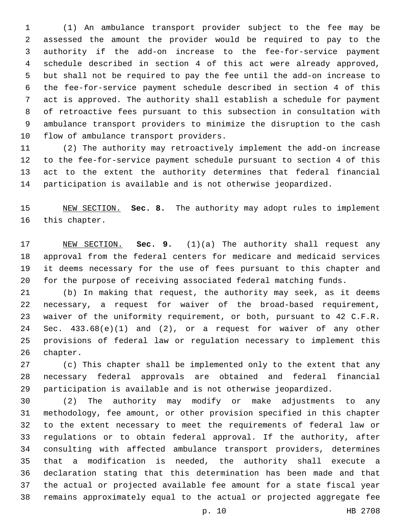(1) An ambulance transport provider subject to the fee may be assessed the amount the provider would be required to pay to the authority if the add-on increase to the fee-for-service payment schedule described in section 4 of this act were already approved, but shall not be required to pay the fee until the add-on increase to the fee-for-service payment schedule described in section 4 of this act is approved. The authority shall establish a schedule for payment of retroactive fees pursuant to this subsection in consultation with ambulance transport providers to minimize the disruption to the cash 10 flow of ambulance transport providers.

 (2) The authority may retroactively implement the add-on increase to the fee-for-service payment schedule pursuant to section 4 of this act to the extent the authority determines that federal financial participation is available and is not otherwise jeopardized.

 NEW SECTION. **Sec. 8.** The authority may adopt rules to implement this chapter.

 NEW SECTION. **Sec. 9.** (1)(a) The authority shall request any approval from the federal centers for medicare and medicaid services it deems necessary for the use of fees pursuant to this chapter and for the purpose of receiving associated federal matching funds.

 (b) In making that request, the authority may seek, as it deems necessary, a request for waiver of the broad-based requirement, waiver of the uniformity requirement, or both, pursuant to 42 C.F.R. Sec. 433.68(e)(1) and (2), or a request for waiver of any other provisions of federal law or regulation necessary to implement this 26 chapter.

 (c) This chapter shall be implemented only to the extent that any necessary federal approvals are obtained and federal financial participation is available and is not otherwise jeopardized.

 (2) The authority may modify or make adjustments to any methodology, fee amount, or other provision specified in this chapter to the extent necessary to meet the requirements of federal law or regulations or to obtain federal approval. If the authority, after consulting with affected ambulance transport providers, determines that a modification is needed, the authority shall execute a declaration stating that this determination has been made and that the actual or projected available fee amount for a state fiscal year remains approximately equal to the actual or projected aggregate fee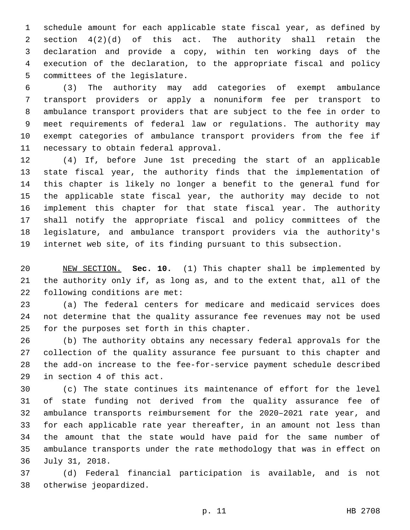schedule amount for each applicable state fiscal year, as defined by section 4(2)(d) of this act. The authority shall retain the declaration and provide a copy, within ten working days of the execution of the declaration, to the appropriate fiscal and policy 5 committees of the legislature.

 (3) The authority may add categories of exempt ambulance transport providers or apply a nonuniform fee per transport to ambulance transport providers that are subject to the fee in order to meet requirements of federal law or regulations. The authority may exempt categories of ambulance transport providers from the fee if 11 necessary to obtain federal approval.

 (4) If, before June 1st preceding the start of an applicable state fiscal year, the authority finds that the implementation of this chapter is likely no longer a benefit to the general fund for the applicable state fiscal year, the authority may decide to not implement this chapter for that state fiscal year. The authority shall notify the appropriate fiscal and policy committees of the legislature, and ambulance transport providers via the authority's internet web site, of its finding pursuant to this subsection.

 NEW SECTION. **Sec. 10.** (1) This chapter shall be implemented by the authority only if, as long as, and to the extent that, all of the following conditions are met:

 (a) The federal centers for medicare and medicaid services does not determine that the quality assurance fee revenues may not be used 25 for the purposes set forth in this chapter.

 (b) The authority obtains any necessary federal approvals for the collection of the quality assurance fee pursuant to this chapter and the add-on increase to the fee-for-service payment schedule described 29 in section 4 of this act.

 (c) The state continues its maintenance of effort for the level of state funding not derived from the quality assurance fee of ambulance transports reimbursement for the 2020–2021 rate year, and for each applicable rate year thereafter, in an amount not less than the amount that the state would have paid for the same number of ambulance transports under the rate methodology that was in effect on July 31, 2018.36

 (d) Federal financial participation is available, and is not 38 otherwise jeopardized.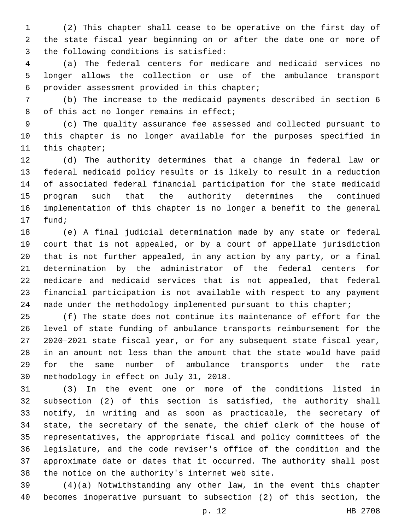(2) This chapter shall cease to be operative on the first day of the state fiscal year beginning on or after the date one or more of 3 the following conditions is satisfied:

 (a) The federal centers for medicare and medicaid services no longer allows the collection or use of the ambulance transport 6 provider assessment provided in this chapter;

 (b) The increase to the medicaid payments described in section 6 8 of this act no longer remains in effect;

 (c) The quality assurance fee assessed and collected pursuant to this chapter is no longer available for the purposes specified in 11 this chapter;

 (d) The authority determines that a change in federal law or federal medicaid policy results or is likely to result in a reduction of associated federal financial participation for the state medicaid program such that the authority determines the continued implementation of this chapter is no longer a benefit to the general 17 fund;

 (e) A final judicial determination made by any state or federal court that is not appealed, or by a court of appellate jurisdiction that is not further appealed, in any action by any party, or a final determination by the administrator of the federal centers for medicare and medicaid services that is not appealed, that federal financial participation is not available with respect to any payment 24 made under the methodology implemented pursuant to this chapter;

 (f) The state does not continue its maintenance of effort for the level of state funding of ambulance transports reimbursement for the 2020–2021 state fiscal year, or for any subsequent state fiscal year, in an amount not less than the amount that the state would have paid for the same number of ambulance transports under the rate 30 methodology in effect on July 31, 2018.

 (3) In the event one or more of the conditions listed in subsection (2) of this section is satisfied, the authority shall notify, in writing and as soon as practicable, the secretary of state, the secretary of the senate, the chief clerk of the house of representatives, the appropriate fiscal and policy committees of the legislature, and the code reviser's office of the condition and the approximate date or dates that it occurred. The authority shall post 38 the notice on the authority's internet web site.

 (4)(a) Notwithstanding any other law, in the event this chapter becomes inoperative pursuant to subsection (2) of this section, the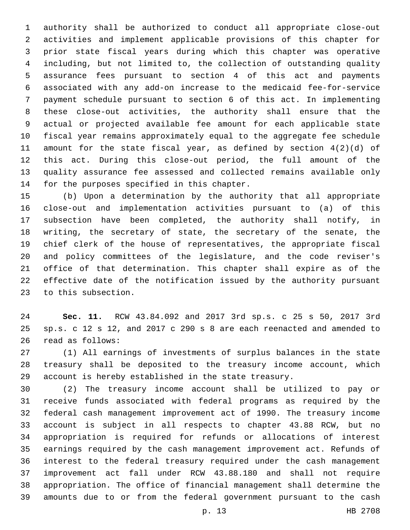authority shall be authorized to conduct all appropriate close-out activities and implement applicable provisions of this chapter for prior state fiscal years during which this chapter was operative including, but not limited to, the collection of outstanding quality assurance fees pursuant to section 4 of this act and payments associated with any add-on increase to the medicaid fee-for-service payment schedule pursuant to section 6 of this act. In implementing these close-out activities, the authority shall ensure that the actual or projected available fee amount for each applicable state fiscal year remains approximately equal to the aggregate fee schedule amount for the state fiscal year, as defined by section 4(2)(d) of this act. During this close-out period, the full amount of the quality assurance fee assessed and collected remains available only 14 for the purposes specified in this chapter.

 (b) Upon a determination by the authority that all appropriate close-out and implementation activities pursuant to (a) of this subsection have been completed, the authority shall notify, in writing, the secretary of state, the secretary of the senate, the chief clerk of the house of representatives, the appropriate fiscal and policy committees of the legislature, and the code reviser's office of that determination. This chapter shall expire as of the effective date of the notification issued by the authority pursuant 23 to this subsection.

 **Sec. 11.** RCW 43.84.092 and 2017 3rd sp.s. c 25 s 50, 2017 3rd sp.s. c 12 s 12, and 2017 c 290 s 8 are each reenacted and amended to 26 read as follows:

 (1) All earnings of investments of surplus balances in the state treasury shall be deposited to the treasury income account, which account is hereby established in the state treasury.

 (2) The treasury income account shall be utilized to pay or receive funds associated with federal programs as required by the federal cash management improvement act of 1990. The treasury income account is subject in all respects to chapter 43.88 RCW, but no appropriation is required for refunds or allocations of interest earnings required by the cash management improvement act. Refunds of interest to the federal treasury required under the cash management improvement act fall under RCW 43.88.180 and shall not require appropriation. The office of financial management shall determine the amounts due to or from the federal government pursuant to the cash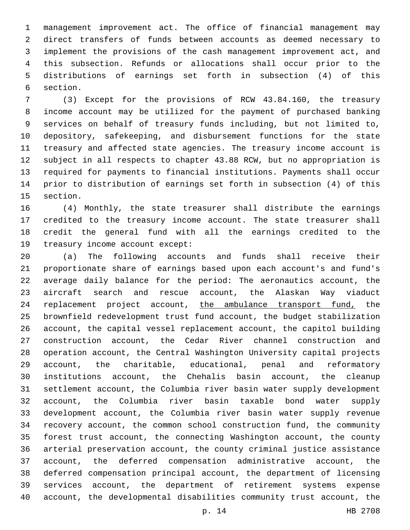management improvement act. The office of financial management may direct transfers of funds between accounts as deemed necessary to implement the provisions of the cash management improvement act, and this subsection. Refunds or allocations shall occur prior to the distributions of earnings set forth in subsection (4) of this 6 section.

 (3) Except for the provisions of RCW 43.84.160, the treasury income account may be utilized for the payment of purchased banking services on behalf of treasury funds including, but not limited to, depository, safekeeping, and disbursement functions for the state treasury and affected state agencies. The treasury income account is subject in all respects to chapter 43.88 RCW, but no appropriation is required for payments to financial institutions. Payments shall occur prior to distribution of earnings set forth in subsection (4) of this 15 section.

 (4) Monthly, the state treasurer shall distribute the earnings credited to the treasury income account. The state treasurer shall credit the general fund with all the earnings credited to the 19 treasury income account except:

 (a) The following accounts and funds shall receive their proportionate share of earnings based upon each account's and fund's average daily balance for the period: The aeronautics account, the aircraft search and rescue account, the Alaskan Way viaduct 24 replacement project account, the ambulance transport fund, the brownfield redevelopment trust fund account, the budget stabilization account, the capital vessel replacement account, the capitol building construction account, the Cedar River channel construction and operation account, the Central Washington University capital projects account, the charitable, educational, penal and reformatory institutions account, the Chehalis basin account, the cleanup settlement account, the Columbia river basin water supply development account, the Columbia river basin taxable bond water supply development account, the Columbia river basin water supply revenue recovery account, the common school construction fund, the community forest trust account, the connecting Washington account, the county arterial preservation account, the county criminal justice assistance account, the deferred compensation administrative account, the deferred compensation principal account, the department of licensing services account, the department of retirement systems expense account, the developmental disabilities community trust account, the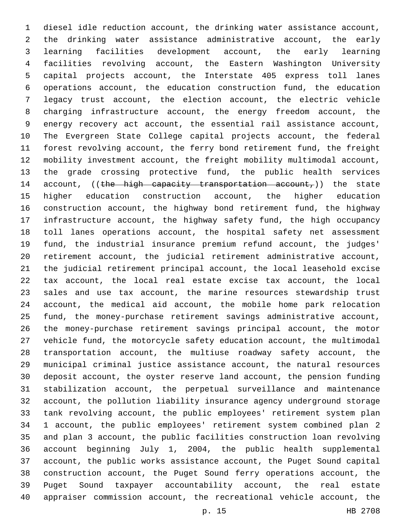diesel idle reduction account, the drinking water assistance account, the drinking water assistance administrative account, the early learning facilities development account, the early learning facilities revolving account, the Eastern Washington University capital projects account, the Interstate 405 express toll lanes operations account, the education construction fund, the education legacy trust account, the election account, the electric vehicle charging infrastructure account, the energy freedom account, the energy recovery act account, the essential rail assistance account, The Evergreen State College capital projects account, the federal forest revolving account, the ferry bond retirement fund, the freight mobility investment account, the freight mobility multimodal account, the grade crossing protective fund, the public health services 14 account, ((the high capacity transportation account,)) the state higher education construction account, the higher education construction account, the highway bond retirement fund, the highway infrastructure account, the highway safety fund, the high occupancy toll lanes operations account, the hospital safety net assessment fund, the industrial insurance premium refund account, the judges' retirement account, the judicial retirement administrative account, the judicial retirement principal account, the local leasehold excise tax account, the local real estate excise tax account, the local sales and use tax account, the marine resources stewardship trust account, the medical aid account, the mobile home park relocation fund, the money-purchase retirement savings administrative account, the money-purchase retirement savings principal account, the motor vehicle fund, the motorcycle safety education account, the multimodal transportation account, the multiuse roadway safety account, the municipal criminal justice assistance account, the natural resources deposit account, the oyster reserve land account, the pension funding stabilization account, the perpetual surveillance and maintenance account, the pollution liability insurance agency underground storage tank revolving account, the public employees' retirement system plan 1 account, the public employees' retirement system combined plan 2 and plan 3 account, the public facilities construction loan revolving account beginning July 1, 2004, the public health supplemental account, the public works assistance account, the Puget Sound capital construction account, the Puget Sound ferry operations account, the Puget Sound taxpayer accountability account, the real estate appraiser commission account, the recreational vehicle account, the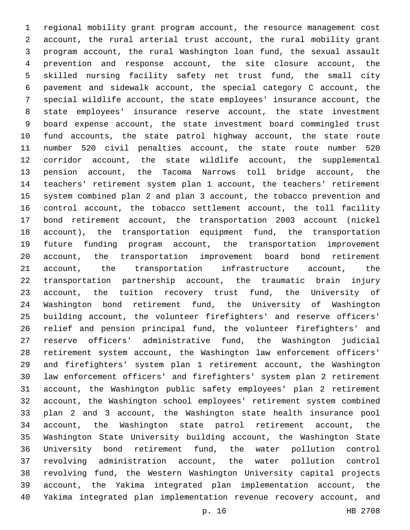regional mobility grant program account, the resource management cost account, the rural arterial trust account, the rural mobility grant program account, the rural Washington loan fund, the sexual assault prevention and response account, the site closure account, the skilled nursing facility safety net trust fund, the small city pavement and sidewalk account, the special category C account, the special wildlife account, the state employees' insurance account, the state employees' insurance reserve account, the state investment board expense account, the state investment board commingled trust fund accounts, the state patrol highway account, the state route number 520 civil penalties account, the state route number 520 corridor account, the state wildlife account, the supplemental pension account, the Tacoma Narrows toll bridge account, the teachers' retirement system plan 1 account, the teachers' retirement system combined plan 2 and plan 3 account, the tobacco prevention and control account, the tobacco settlement account, the toll facility bond retirement account, the transportation 2003 account (nickel account), the transportation equipment fund, the transportation future funding program account, the transportation improvement account, the transportation improvement board bond retirement account, the transportation infrastructure account, the transportation partnership account, the traumatic brain injury account, the tuition recovery trust fund, the University of Washington bond retirement fund, the University of Washington building account, the volunteer firefighters' and reserve officers' relief and pension principal fund, the volunteer firefighters' and reserve officers' administrative fund, the Washington judicial retirement system account, the Washington law enforcement officers' and firefighters' system plan 1 retirement account, the Washington law enforcement officers' and firefighters' system plan 2 retirement account, the Washington public safety employees' plan 2 retirement account, the Washington school employees' retirement system combined plan 2 and 3 account, the Washington state health insurance pool account, the Washington state patrol retirement account, the Washington State University building account, the Washington State University bond retirement fund, the water pollution control revolving administration account, the water pollution control revolving fund, the Western Washington University capital projects account, the Yakima integrated plan implementation account, the Yakima integrated plan implementation revenue recovery account, and